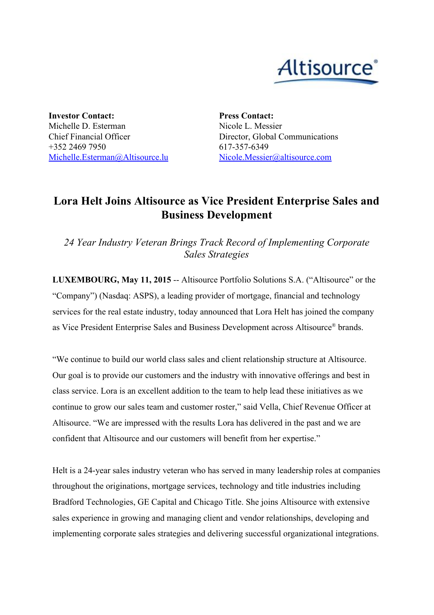

**Investor Contact:** Michelle D. Esterman Chief Financial Officer +352 2469 7950 [Michelle.Esterman@Altisource.lu](mailto:Michelle.Esterman@Altisource.lu) **Press Contact:** Nicole L. Messier Director, Global Communications 617-357-6349 [Nicole.Messier@altisource.com](mailto:Nicole.Messier@altisource.com)

## **Lora Helt Joins Altisource as Vice President Enterprise Sales and Business Development**

*24 Year Industry Veteran Brings Track Record of Implementing Corporate Sales Strategies*

**LUXEMBOURG, May 11, 2015** -- Altisource Portfolio Solutions S.A. ("Altisource" or the "Company") (Nasdaq: ASPS), a leading provider of mortgage, financial and technology services for the real estate industry, today announced that Lora Helt has joined the company as Vice President Enterprise Sales and Business Development across Altisource ® brands.

"We continue to build our world class sales and client relationship structure at Altisource. Our goal is to provide our customers and the industry with innovative offerings and best in class service. Lora is an excellent addition to the team to help lead these initiatives as we continue to grow our sales team and customer roster," said Vella, Chief Revenue Officer at Altisource. "We are impressed with the results Lora has delivered in the past and we are confident that Altisource and our customers will benefit from her expertise."

Helt is a 24-year sales industry veteran who has served in many leadership roles at companies throughout the originations, mortgage services, technology and title industries including Bradford Technologies, GE Capital and Chicago Title. She joins Altisource with extensive sales experience in growing and managing client and vendor relationships, developing and implementing corporate sales strategies and delivering successful organizational integrations.